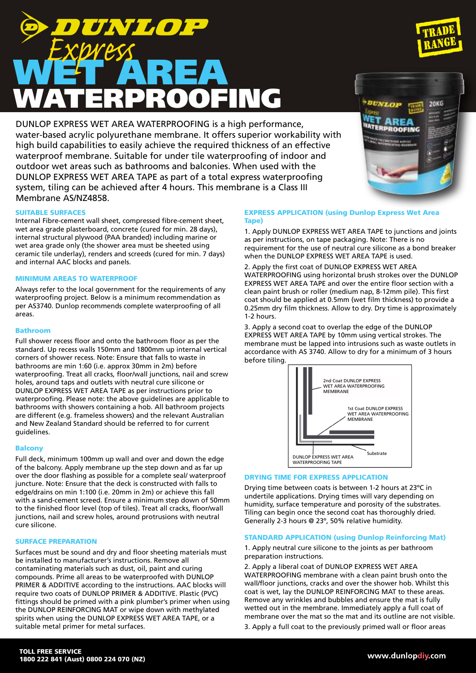DUNLOP EXPRESS WET AREA WATERPROOFING is a high performance, water-based acrylic polyurethane membrane. It offers superior workability with high build capabilities to easily achieve the required thickness of an effective waterproof membrane. Suitable for under tile waterproofing of indoor and outdoor wet areas such as bathrooms and balconies. When used with the DUNLOP EXPRESS WET AREA TAPE as part of a total express waterproofing system, tiling can be achieved after 4 hours. This membrane is a Class III Membrane AS/NZ4858.

# SUITABLE SURFACES

Internal Fibre-cement wall sheet, compressed fibre-cement sheet, wet area grade plasterboard, concrete (cured for min. 28 days), internal structural plywood (PAA branded) including marine or wet area grade only (the shower area must be sheeted using ceramic tile underlay), renders and screeds (cured for min. 7 days) and internal AAC blocks and panels.

# MINIMUM AREAS TO WATERPROOF

Always refer to the local government for the requirements of any waterproofing project. Below is a minimum recommendation as per AS3740. Dunlop recommends complete waterproofing of all areas.

#### Bathroom

Full shower recess floor and onto the bathroom floor as per the standard. Up recess walls 150mm and 1800mm up internal vertical corners of shower recess. Note: Ensure that falls to waste in bathrooms are min 1:60 (i.e. approx 30mm in 2m) before waterproofing. Treat all cracks, floor/wall junctions, nail and screw holes, around taps and outlets with neutral cure silicone or DUNLOP EXPRESS WET AREA TAPE as per instructions prior to waterproofing. Please note: the above guidelines are applicable to bathrooms with showers containing a hob. All bathroom projects are different (e.g. frameless showers) and the relevant Australian and New Zealand Standard should be referred to for current guidelines.

#### Balcony

Full deck, minimum 100mm up wall and over and down the edge of the balcony. Apply membrane up the step down and as far up over the door flashing as possible for a complete seal/ waterproof juncture. Note: Ensure that the deck is constructed with falls to edge/drains on min 1:100 (i.e. 20mm in 2m) or achieve this fall with a sand-cement screed. Ensure a minimum step down of 50mm to the finished floor level (top of tiles). Treat all cracks, floor/wall junctions, nail and screw holes, around protrusions with neutral cure silicone.

#### SURFACE PREPARATION

Surfaces must be sound and dry and floor sheeting materials must be installed to manufacturer's instructions. Remove all contaminating materials such as dust, oil, paint and curing compounds. Prime all areas to be waterproofed with DUNLOP PRIMER & ADDITIVE according to the instructions. AAC blocks will require two coats of DUNLOP PRIMER & ADDITIVE. Plastic (PVC) fittings should be primed with a pink plumber's primer when using the DUNLOP REINFORCING MAT or wipe down with methylated spirits when using the DUNLOP EXPRESS WET AREA TAPE, or a suitable metal primer for metal surfaces.

# Tape)

1. Apply DUNLOP EXPRESS WET AREA TAPE to junctions and joints as per instructions, on tape packaging. Note: There is no requirement for the use of neutral cure silicone as a bond breaker when the DUNLOP EXPRESS WET AREA TAPE is used.

2. Apply the first coat of DUNLOP EXPRESS WET AREA WATERPROOFING using horizontal brush strokes over the DUNLOP EXPRESS WET AREA TAPE and over the entire floor section with a clean paint brush or roller (medium nap, 8-12mm pile). This first coat should be applied at 0.5mm (wet film thickness) to provide a 0.25mm dry film thickness. Allow to dry. Dry time is approximately 1-2 hours.

3. Apply a second coat to overlap the edge of the DUNLOP EXPRESS WET AREA TAPE by 10mm using vertical strokes. The membrane must be lapped into intrusions such as waste outlets in accordance with AS 3740. Allow to dry for a minimum of 3 hours before tiling.



#### DRYING TIME FOR EXPRESS APPLICATION

Drying time between coats is between 1-2 hours at 23ºC in undertile applications. Drying times will vary depending on humidity, surface temperature and porosity of the substrates. Tiling can begin once the second coat has thoroughly dried. Generally 2-3 hours @ 23º, 50% relative humidity.

# STANDARD APPLICATION (using Dunlop Reinforcing Mat)

1. Apply neutral cure silicone to the joints as per bathroom preparation instructions.

2. Apply a liberal coat of DUNLOP EXPRESS WET AREA WATERPROOFING membrane with a clean paint brush onto the wall/floor junctions, cracks and over the shower hob. Whilst this coat is wet, lay the DUNLOP REINFORCING MAT to these areas. Remove any wrinkles and bubbles and ensure the mat is fully wetted out in the membrane. Immediately apply a full coat of membrane over the mat so the mat and its outline are not visible. 3. Apply a full coat to the previously primed wall or floor areas

# EXPRESS APPLICATION (using Dunlop Express Wet Area

**DAKG** 

**ROOFING**